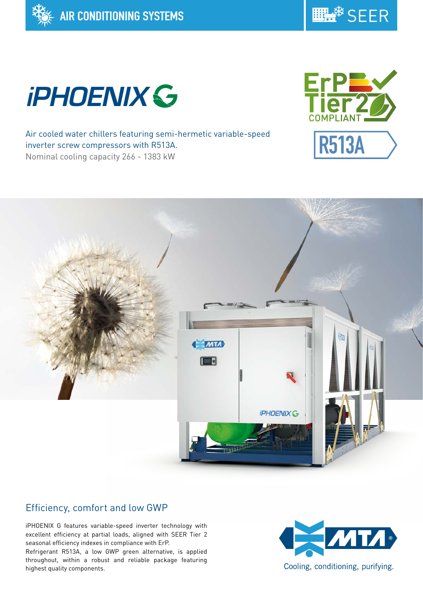





Air cooled water chillers featuring semi-hermetic variable-speed inverter screw compressors with R513A. Nominal cooling capacity 266 - 1383 kW





# Efficiency, comfort and low GWP

iPHOENIX G features variable-speed inverter technology with excellent efficiency at partial loads, aligned with SEER Tier 2 seasonal efficiency indexes in compliance with ErP.

Refrigerant R513A, a low GWP green alternative, is applied throughout, within a robust and reliable package featuring highest quality components.